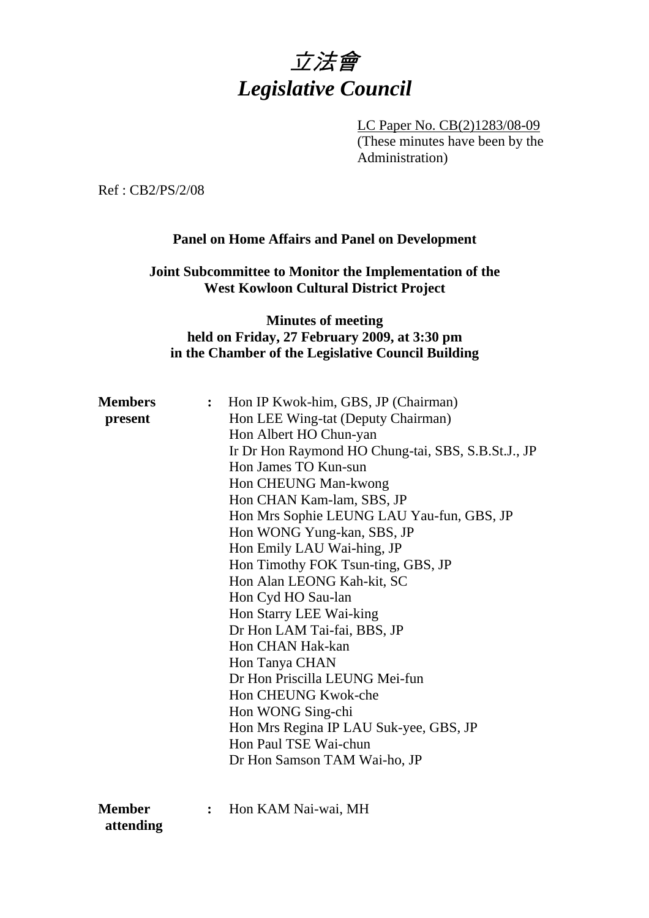

LC Paper No. CB(2)1283/08-09 (These minutes have been by the Administration)

Ref : CB2/PS/2/08

## **Panel on Home Affairs and Panel on Development**

## **Joint Subcommittee to Monitor the Implementation of the West Kowloon Cultural District Project**

## **Minutes of meeting held on Friday, 27 February 2009, at 3:30 pm in the Chamber of the Legislative Council Building**

| <b>Members</b><br>present | $\ddot{\cdot}$ | Hon IP Kwok-him, GBS, JP (Chairman)<br>Hon LEE Wing-tat (Deputy Chairman) |  |
|---------------------------|----------------|---------------------------------------------------------------------------|--|
|                           |                |                                                                           |  |
|                           |                | Hon Albert HO Chun-yan                                                    |  |
|                           |                | Ir Dr Hon Raymond HO Chung-tai, SBS, S.B.St.J., JP                        |  |
|                           |                | Hon James TO Kun-sun                                                      |  |
|                           |                | Hon CHEUNG Man-kwong                                                      |  |
|                           |                | Hon CHAN Kam-lam, SBS, JP                                                 |  |
|                           |                | Hon Mrs Sophie LEUNG LAU Yau-fun, GBS, JP                                 |  |
|                           |                | Hon WONG Yung-kan, SBS, JP                                                |  |
|                           |                | Hon Emily LAU Wai-hing, JP                                                |  |
|                           |                | Hon Timothy FOK Tsun-ting, GBS, JP                                        |  |
|                           |                | Hon Alan LEONG Kah-kit, SC                                                |  |
|                           |                | Hon Cyd HO Sau-lan                                                        |  |
|                           |                | Hon Starry LEE Wai-king                                                   |  |
|                           |                | Dr Hon LAM Tai-fai, BBS, JP                                               |  |
|                           |                | Hon CHAN Hak-kan                                                          |  |
|                           |                | Hon Tanya CHAN                                                            |  |
|                           |                | Dr Hon Priscilla LEUNG Mei-fun                                            |  |
|                           |                | Hon CHEUNG Kwok-che                                                       |  |
|                           |                | Hon WONG Sing-chi                                                         |  |
|                           |                | Hon Mrs Regina IP LAU Suk-yee, GBS, JP                                    |  |
|                           |                | Hon Paul TSE Wai-chun                                                     |  |
|                           |                | Dr Hon Samson TAM Wai-ho, JP                                              |  |
|                           |                |                                                                           |  |
| <b>Member</b>             | $\ddot{\cdot}$ | Hon KAM Nai-wai, MH                                                       |  |

 **attending**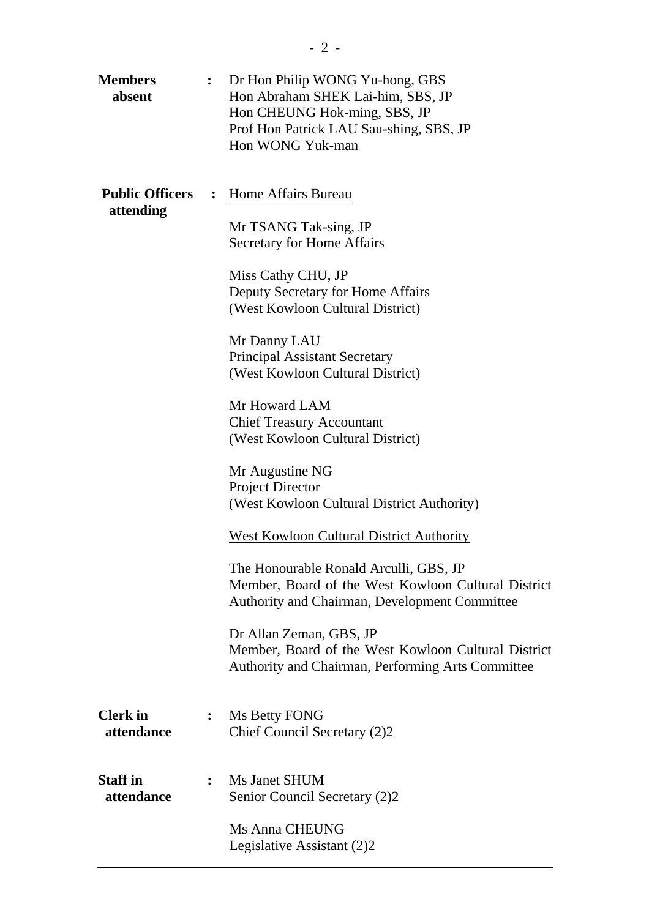| <b>Members</b><br>absent            | $\ddot{\bullet}$ | Dr Hon Philip WONG Yu-hong, GBS<br>Hon Abraham SHEK Lai-him, SBS, JP<br>Hon CHEUNG Hok-ming, SBS, JP<br>Prof Hon Patrick LAU Sau-shing, SBS, JP<br>Hon WONG Yuk-man |
|-------------------------------------|------------------|---------------------------------------------------------------------------------------------------------------------------------------------------------------------|
| <b>Public Officers</b><br>attending |                  | Home Affairs Bureau<br>Mr TSANG Tak-sing, JP                                                                                                                        |
|                                     |                  | <b>Secretary for Home Affairs</b>                                                                                                                                   |
|                                     |                  | Miss Cathy CHU, JP<br>Deputy Secretary for Home Affairs<br>(West Kowloon Cultural District)                                                                         |
|                                     |                  | Mr Danny LAU<br><b>Principal Assistant Secretary</b><br>(West Kowloon Cultural District)                                                                            |
|                                     |                  | Mr Howard LAM<br><b>Chief Treasury Accountant</b><br>(West Kowloon Cultural District)                                                                               |
|                                     |                  | Mr Augustine NG<br><b>Project Director</b><br>(West Kowloon Cultural District Authority)                                                                            |
|                                     |                  | <b>West Kowloon Cultural District Authority</b>                                                                                                                     |
|                                     |                  | The Honourable Ronald Arculli, GBS, JP<br>Member, Board of the West Kowloon Cultural District<br>Authority and Chairman, Development Committee                      |
|                                     |                  | Dr Allan Zeman, GBS, JP<br>Member, Board of the West Kowloon Cultural District<br>Authority and Chairman, Performing Arts Committee                                 |
| <b>Clerk</b> in<br>attendance       | $\ddot{\cdot}$   | Ms Betty FONG<br>Chief Council Secretary (2)2                                                                                                                       |
| <b>Staff</b> in<br>attendance       | $\ddot{\cdot}$   | Ms Janet SHUM<br>Senior Council Secretary (2)2                                                                                                                      |
|                                     |                  | Ms Anna CHEUNG<br>Legislative Assistant (2)2                                                                                                                        |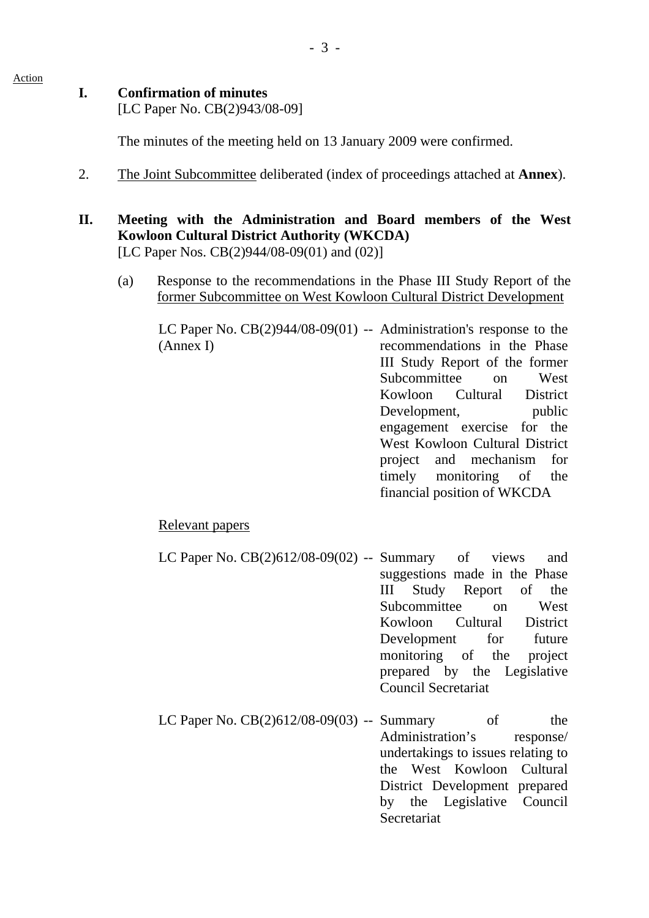## **I. Confirmation of minutes**

Action

[LC Paper No. CB(2)943/08-09]

The minutes of the meeting held on 13 January 2009 were confirmed.

2. The Joint Subcommittee deliberated (index of proceedings attached at **Annex**).

## **II. Meeting with the Administration and Board members of the West Kowloon Cultural District Authority (WKCDA)**  [LC Paper Nos. CB(2)944/08-09(01) and (02)]

(a) Response to the recommendations in the Phase III Study Report of the former Subcommittee on West Kowloon Cultural District Development

LC Paper No.  $CB(2)944/08-09(01)$  -- Administration's response to the (Annex I) recommendations in the Phase III Study Report of the former Subcommittee on West Kowloon Cultural District Development, public engagement exercise for the West Kowloon Cultural District project and mechanism for timely monitoring of the financial position of WKCDA

## Relevant papers

- LC Paper No.  $CB(2)612/08-09(02)$  -- Summary of views and suggestions made in the Phase III Study Report of the Subcommittee on West Kowloon Cultural District Development for future monitoring of the project prepared by the Legislative Council Secretariat
- LC Paper No.  $CB(2)612/08-09(03)$  -- Summary of the Administration's response/ undertakings to issues relating to the West Kowloon Cultural District Development prepared by the Legislative Council **Secretariat**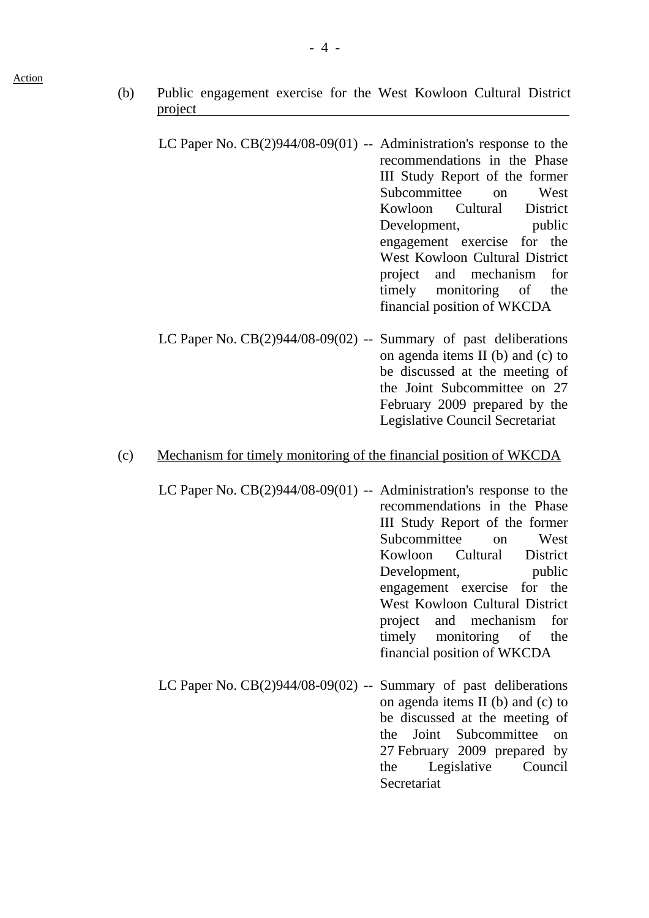- (b) Public engagement exercise for the West Kowloon Cultural District project
	- LC Paper No. CB(2)944/08-09(01) -- Administration's response to the recommendations in the Phase III Study Report of the former Subcommittee on West Kowloon Cultural District Development, public engagement exercise for the West Kowloon Cultural District project and mechanism for timely monitoring of the financial position of WKCDA
	- LC Paper No.  $CB(2)944/08-09(02)$  -- Summary of past deliberations on agenda items II (b) and (c) to be discussed at the meeting of the Joint Subcommittee on 27 February 2009 prepared by the Legislative Council Secretariat

#### (c) Mechanism for timely monitoring of the financial position of WKCDA

- LC Paper No. CB(2)944/08-09(01) -- Administration's response to the recommendations in the Phase III Study Report of the former Subcommittee on West Kowloon Cultural District Development, public engagement exercise for the West Kowloon Cultural District project and mechanism for timely monitoring of the financial position of WKCDA
- LC Paper No. CB(2)944/08-09(02) -- Summary of past deliberations on agenda items II (b) and (c) to be discussed at the meeting of the Joint Subcommittee on 27 February 2009 prepared by the Legislative Council **Secretariat**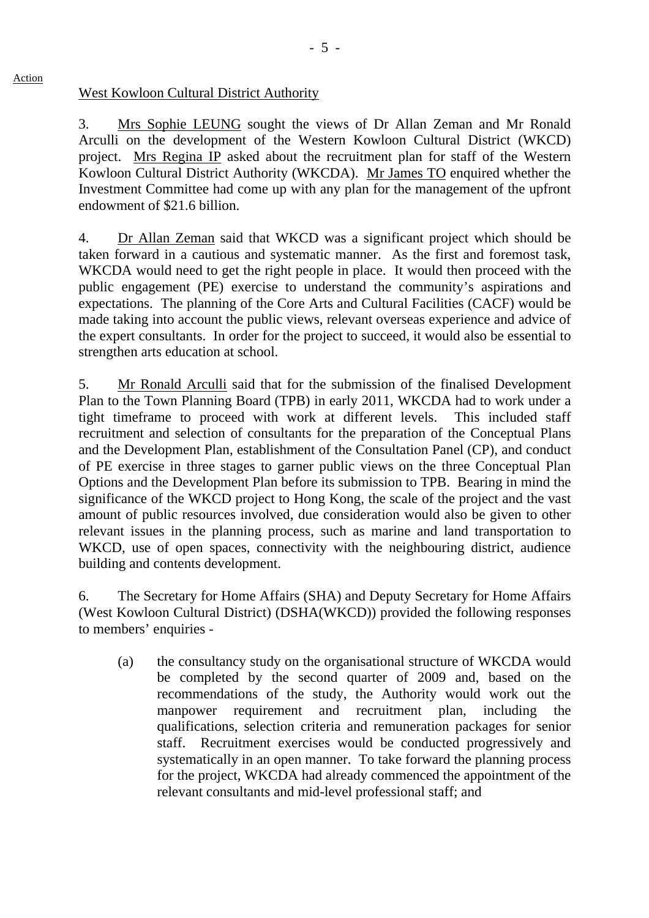#### West Kowloon Cultural District Authority

Action

3. Mrs Sophie LEUNG sought the views of Dr Allan Zeman and Mr Ronald Arculli on the development of the Western Kowloon Cultural District (WKCD) project. Mrs Regina IP asked about the recruitment plan for staff of the Western Kowloon Cultural District Authority (WKCDA). Mr James TO enquired whether the Investment Committee had come up with any plan for the management of the upfront endowment of \$21.6 billion.

4. Dr Allan Zeman said that WKCD was a significant project which should be taken forward in a cautious and systematic manner. As the first and foremost task, WKCDA would need to get the right people in place. It would then proceed with the public engagement (PE) exercise to understand the community's aspirations and expectations. The planning of the Core Arts and Cultural Facilities (CACF) would be made taking into account the public views, relevant overseas experience and advice of the expert consultants. In order for the project to succeed, it would also be essential to strengthen arts education at school.

5. Mr Ronald Arculli said that for the submission of the finalised Development Plan to the Town Planning Board (TPB) in early 2011, WKCDA had to work under a tight timeframe to proceed with work at different levels. This included staff recruitment and selection of consultants for the preparation of the Conceptual Plans and the Development Plan, establishment of the Consultation Panel (CP), and conduct of PE exercise in three stages to garner public views on the three Conceptual Plan Options and the Development Plan before its submission to TPB. Bearing in mind the significance of the WKCD project to Hong Kong, the scale of the project and the vast amount of public resources involved, due consideration would also be given to other relevant issues in the planning process, such as marine and land transportation to WKCD, use of open spaces, connectivity with the neighbouring district, audience building and contents development.

6. The Secretary for Home Affairs (SHA) and Deputy Secretary for Home Affairs (West Kowloon Cultural District) (DSHA(WKCD)) provided the following responses to members' enquiries -

(a) the consultancy study on the organisational structure of WKCDA would be completed by the second quarter of 2009 and, based on the recommendations of the study, the Authority would work out the manpower requirement and recruitment plan, including the qualifications, selection criteria and remuneration packages for senior staff. Recruitment exercises would be conducted progressively and systematically in an open manner. To take forward the planning process for the project, WKCDA had already commenced the appointment of the relevant consultants and mid-level professional staff; and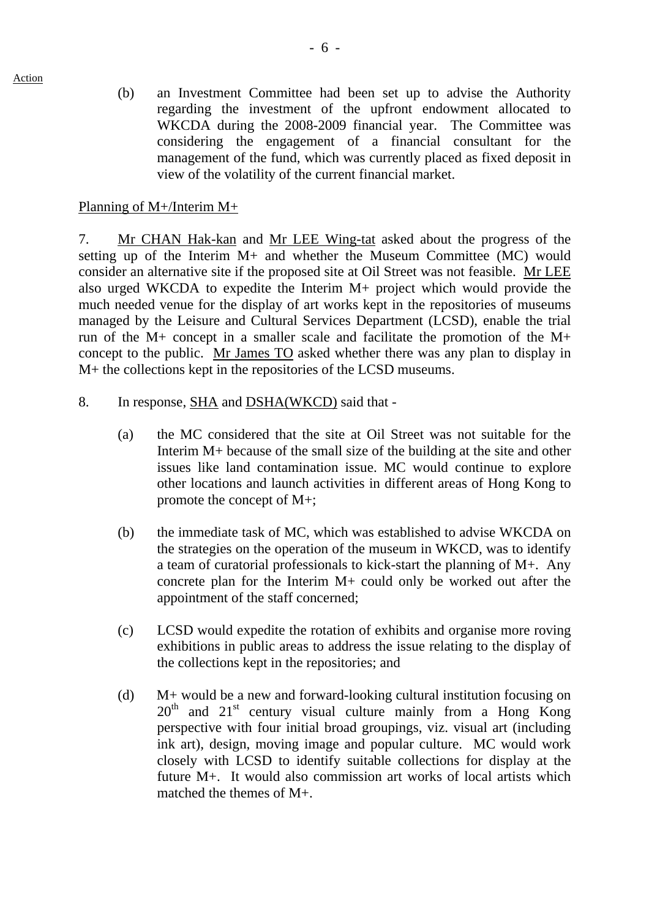(b) an Investment Committee had been set up to advise the Authority regarding the investment of the upfront endowment allocated to WKCDA during the 2008-2009 financial year. The Committee was considering the engagement of a financial consultant for the management of the fund, which was currently placed as fixed deposit in view of the volatility of the current financial market.

Planning of M+/Interim M+

Action

7. Mr CHAN Hak-kan and Mr LEE Wing-tat asked about the progress of the setting up of the Interim M+ and whether the Museum Committee (MC) would consider an alternative site if the proposed site at Oil Street was not feasible. Mr LEE also urged WKCDA to expedite the Interim M+ project which would provide the much needed venue for the display of art works kept in the repositories of museums managed by the Leisure and Cultural Services Department (LCSD), enable the trial run of the M+ concept in a smaller scale and facilitate the promotion of the M+ concept to the public. Mr James TO asked whether there was any plan to display in M+ the collections kept in the repositories of the LCSD museums.

- 8. In response, SHA and DSHA(WKCD) said that
	- (a) the MC considered that the site at Oil Street was not suitable for the Interim M+ because of the small size of the building at the site and other issues like land contamination issue. MC would continue to explore other locations and launch activities in different areas of Hong Kong to promote the concept of M+;
	- (b) the immediate task of MC, which was established to advise WKCDA on the strategies on the operation of the museum in WKCD, was to identify a team of curatorial professionals to kick-start the planning of M+. Any concrete plan for the Interim M+ could only be worked out after the appointment of the staff concerned;
	- (c) LCSD would expedite the rotation of exhibits and organise more roving exhibitions in public areas to address the issue relating to the display of the collections kept in the repositories; and
	- (d) M+ would be a new and forward-looking cultural institution focusing on  $20<sup>th</sup>$  and  $21<sup>st</sup>$  century visual culture mainly from a Hong Kong perspective with four initial broad groupings, viz. visual art (including ink art), design, moving image and popular culture. MC would work closely with LCSD to identify suitable collections for display at the future M+. It would also commission art works of local artists which matched the themes of M+.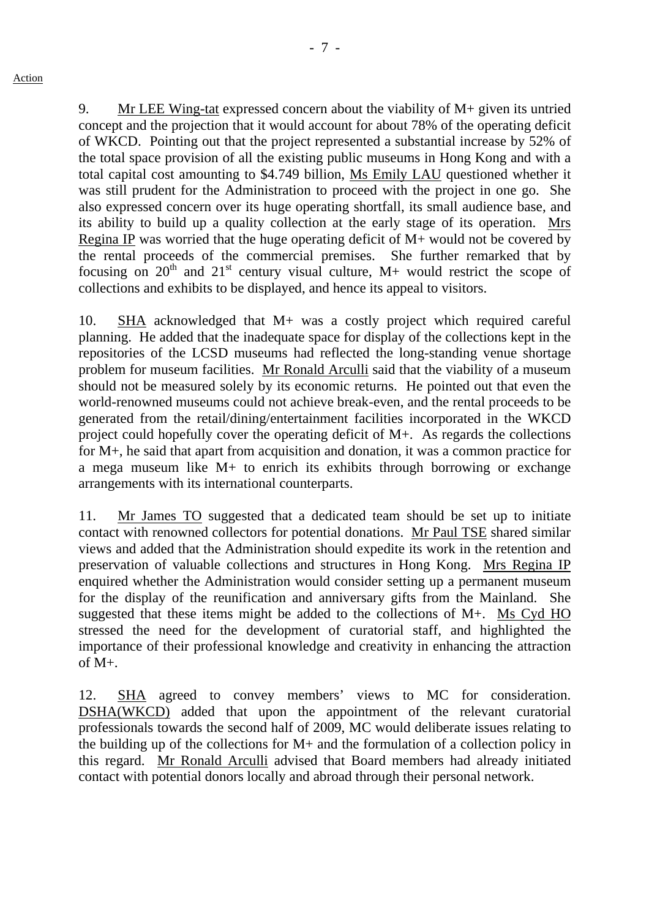- 7 -

9. Mr LEE Wing-tat expressed concern about the viability of M+ given its untried concept and the projection that it would account for about 78% of the operating deficit of WKCD. Pointing out that the project represented a substantial increase by 52% of the total space provision of all the existing public museums in Hong Kong and with a total capital cost amounting to \$4.749 billion, Ms Emily LAU questioned whether it was still prudent for the Administration to proceed with the project in one go. She also expressed concern over its huge operating shortfall, its small audience base, and its ability to build up a quality collection at the early stage of its operation. Mrs Regina IP was worried that the huge operating deficit of M+ would not be covered by the rental proceeds of the commercial premises. She further remarked that by focusing on  $20^{th}$  and  $21^{st}$  century visual culture, M+ would restrict the scope of collections and exhibits to be displayed, and hence its appeal to visitors.

10. SHA acknowledged that M+ was a costly project which required careful planning. He added that the inadequate space for display of the collections kept in the repositories of the LCSD museums had reflected the long-standing venue shortage problem for museum facilities. Mr Ronald Arculli said that the viability of a museum should not be measured solely by its economic returns. He pointed out that even the world-renowned museums could not achieve break-even, and the rental proceeds to be generated from the retail/dining/entertainment facilities incorporated in the WKCD project could hopefully cover the operating deficit of M+. As regards the collections for M+, he said that apart from acquisition and donation, it was a common practice for a mega museum like M+ to enrich its exhibits through borrowing or exchange arrangements with its international counterparts.

11. Mr James TO suggested that a dedicated team should be set up to initiate contact with renowned collectors for potential donations. Mr Paul TSE shared similar views and added that the Administration should expedite its work in the retention and preservation of valuable collections and structures in Hong Kong. Mrs Regina IP enquired whether the Administration would consider setting up a permanent museum for the display of the reunification and anniversary gifts from the Mainland. She suggested that these items might be added to the collections of M+. Ms Cyd HO stressed the need for the development of curatorial staff, and highlighted the importance of their professional knowledge and creativity in enhancing the attraction of  $M_{+}$ .

12. SHA agreed to convey members' views to MC for consideration. DSHA(WKCD) added that upon the appointment of the relevant curatorial professionals towards the second half of 2009, MC would deliberate issues relating to the building up of the collections for M+ and the formulation of a collection policy in this regard. Mr Ronald Arculli advised that Board members had already initiated contact with potential donors locally and abroad through their personal network.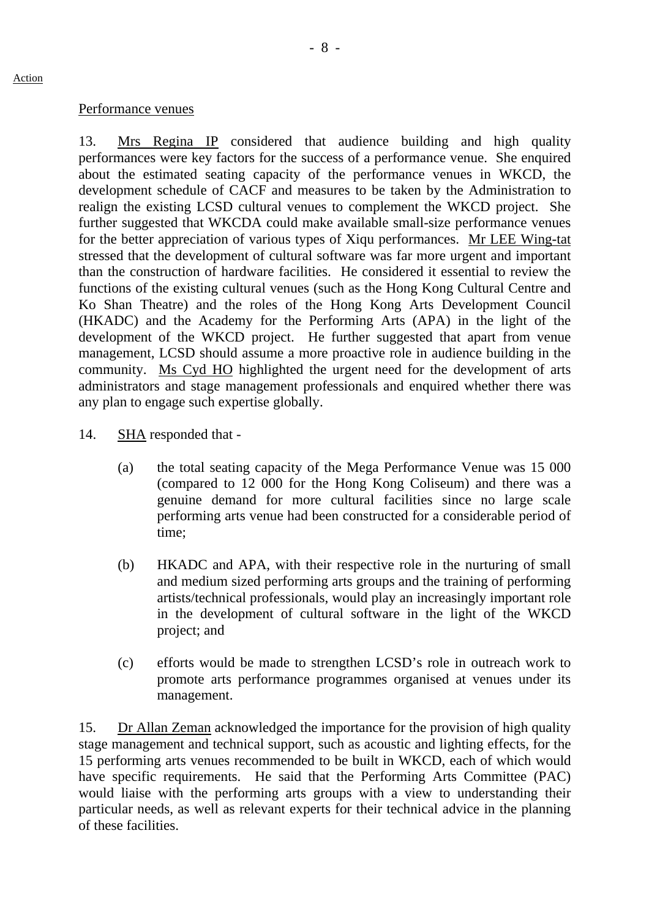#### Performance venues

13. Mrs Regina IP considered that audience building and high quality performances were key factors for the success of a performance venue. She enquired about the estimated seating capacity of the performance venues in WKCD, the development schedule of CACF and measures to be taken by the Administration to realign the existing LCSD cultural venues to complement the WKCD project. She further suggested that WKCDA could make available small-size performance venues for the better appreciation of various types of Xiqu performances. Mr LEE Wing-tat stressed that the development of cultural software was far more urgent and important than the construction of hardware facilities. He considered it essential to review the functions of the existing cultural venues (such as the Hong Kong Cultural Centre and Ko Shan Theatre) and the roles of the Hong Kong Arts Development Council (HKADC) and the Academy for the Performing Arts (APA) in the light of the development of the WKCD project. He further suggested that apart from venue management, LCSD should assume a more proactive role in audience building in the community. Ms Cyd HO highlighted the urgent need for the development of arts administrators and stage management professionals and enquired whether there was any plan to engage such expertise globally.

- 14. SHA responded that
	- (a) the total seating capacity of the Mega Performance Venue was 15 000 (compared to 12 000 for the Hong Kong Coliseum) and there was a genuine demand for more cultural facilities since no large scale performing arts venue had been constructed for a considerable period of time;
	- (b) HKADC and APA, with their respective role in the nurturing of small and medium sized performing arts groups and the training of performing artists/technical professionals, would play an increasingly important role in the development of cultural software in the light of the WKCD project; and
	- (c) efforts would be made to strengthen LCSD's role in outreach work to promote arts performance programmes organised at venues under its management.

15. Dr Allan Zeman acknowledged the importance for the provision of high quality stage management and technical support, such as acoustic and lighting effects, for the 15 performing arts venues recommended to be built in WKCD, each of which would have specific requirements. He said that the Performing Arts Committee (PAC) would liaise with the performing arts groups with a view to understanding their particular needs, as well as relevant experts for their technical advice in the planning of these facilities.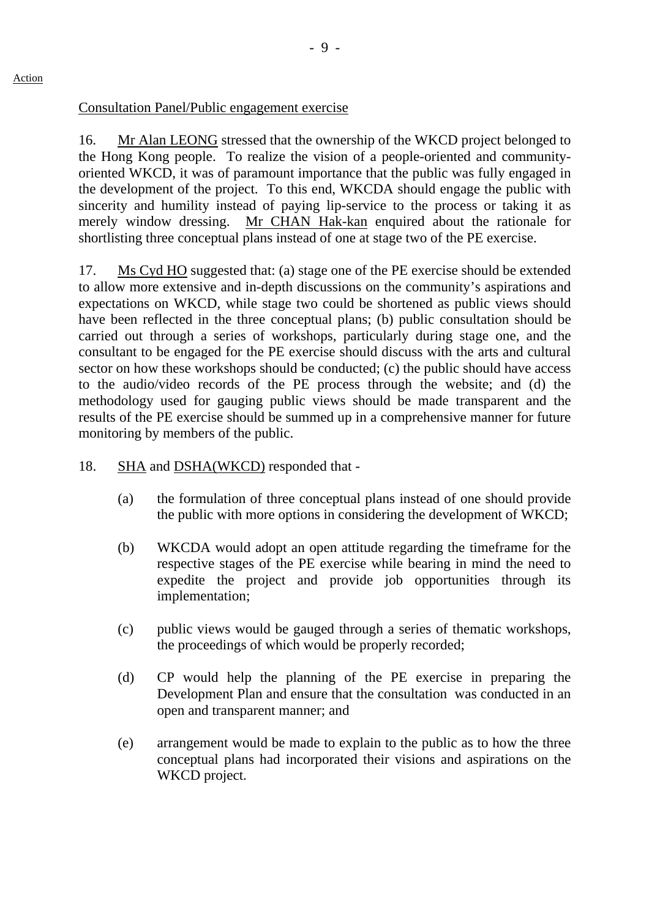Consultation Panel/Public engagement exercise

16. Mr Alan LEONG stressed that the ownership of the WKCD project belonged to the Hong Kong people. To realize the vision of a people-oriented and communityoriented WKCD, it was of paramount importance that the public was fully engaged in the development of the project. To this end, WKCDA should engage the public with sincerity and humility instead of paying lip-service to the process or taking it as merely window dressing. Mr CHAN Hak-kan enquired about the rationale for shortlisting three conceptual plans instead of one at stage two of the PE exercise.

17. Ms Cyd HO suggested that: (a) stage one of the PE exercise should be extended to allow more extensive and in-depth discussions on the community's aspirations and expectations on WKCD, while stage two could be shortened as public views should have been reflected in the three conceptual plans; (b) public consultation should be carried out through a series of workshops, particularly during stage one, and the consultant to be engaged for the PE exercise should discuss with the arts and cultural sector on how these workshops should be conducted; (c) the public should have access to the audio/video records of the PE process through the website; and (d) the methodology used for gauging public views should be made transparent and the results of the PE exercise should be summed up in a comprehensive manner for future monitoring by members of the public.

- 18. SHA and DSHA(WKCD) responded that -
	- (a) the formulation of three conceptual plans instead of one should provide the public with more options in considering the development of WKCD;
	- (b) WKCDA would adopt an open attitude regarding the timeframe for the respective stages of the PE exercise while bearing in mind the need to expedite the project and provide job opportunities through its implementation;
	- (c) public views would be gauged through a series of thematic workshops, the proceedings of which would be properly recorded;
	- (d) CP would help the planning of the PE exercise in preparing the Development Plan and ensure that the consultation was conducted in an open and transparent manner; and
	- (e) arrangement would be made to explain to the public as to how the three conceptual plans had incorporated their visions and aspirations on the WKCD project.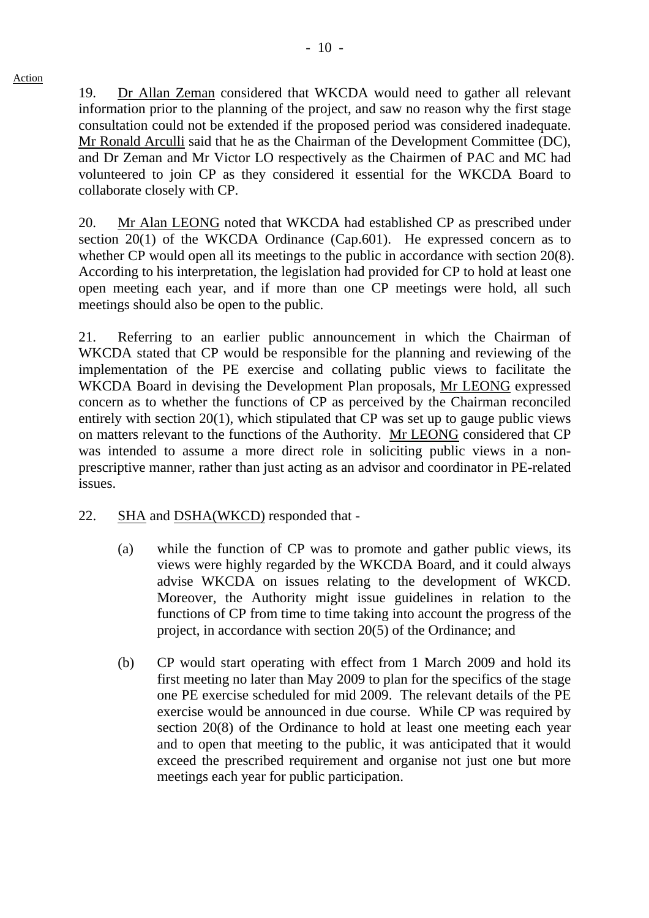19. Dr Allan Zeman considered that WKCDA would need to gather all relevant information prior to the planning of the project, and saw no reason why the first stage consultation could not be extended if the proposed period was considered inadequate. Mr Ronald Arculli said that he as the Chairman of the Development Committee (DC), and Dr Zeman and Mr Victor LO respectively as the Chairmen of PAC and MC had volunteered to join CP as they considered it essential for the WKCDA Board to

20. Mr Alan LEONG noted that WKCDA had established CP as prescribed under section 20(1) of the WKCDA Ordinance (Cap.601). He expressed concern as to whether CP would open all its meetings to the public in accordance with section 20(8). According to his interpretation, the legislation had provided for CP to hold at least one open meeting each year, and if more than one CP meetings were hold, all such meetings should also be open to the public.

21. Referring to an earlier public announcement in which the Chairman of WKCDA stated that CP would be responsible for the planning and reviewing of the implementation of the PE exercise and collating public views to facilitate the WKCDA Board in devising the Development Plan proposals, Mr LEONG expressed concern as to whether the functions of CP as perceived by the Chairman reconciled entirely with section 20(1), which stipulated that CP was set up to gauge public views on matters relevant to the functions of the Authority. Mr LEONG considered that CP was intended to assume a more direct role in soliciting public views in a nonprescriptive manner, rather than just acting as an advisor and coordinator in PE-related issues.

## 22. SHA and DSHA(WKCD) responded that -

collaborate closely with CP.

- (a) while the function of CP was to promote and gather public views, its views were highly regarded by the WKCDA Board, and it could always advise WKCDA on issues relating to the development of WKCD. Moreover, the Authority might issue guidelines in relation to the functions of CP from time to time taking into account the progress of the project, in accordance with section 20(5) of the Ordinance; and
- (b) CP would start operating with effect from 1 March 2009 and hold its first meeting no later than May 2009 to plan for the specifics of the stage one PE exercise scheduled for mid 2009. The relevant details of the PE exercise would be announced in due course. While CP was required by section 20(8) of the Ordinance to hold at least one meeting each year and to open that meeting to the public, it was anticipated that it would exceed the prescribed requirement and organise not just one but more meetings each year for public participation.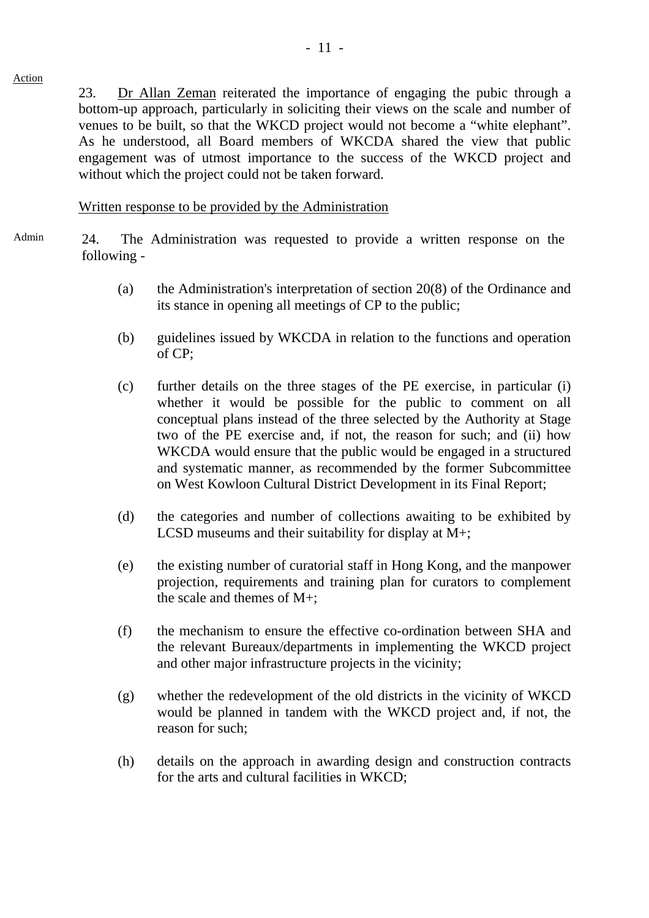23. Dr Allan Zeman reiterated the importance of engaging the pubic through a bottom-up approach, particularly in soliciting their views on the scale and number of venues to be built, so that the WKCD project would not become a "white elephant". As he understood, all Board members of WKCDA shared the view that public engagement was of utmost importance to the success of the WKCD project and without which the project could not be taken forward.

Written response to be provided by the Administration

Action

- Admin 24. The Administration was requested to provide a written response on the following -
	- (a) the Administration's interpretation of section 20(8) of the Ordinance and its stance in opening all meetings of CP to the public;
	- (b) guidelines issued by WKCDA in relation to the functions and operation of CP;
	- (c) further details on the three stages of the PE exercise, in particular (i) whether it would be possible for the public to comment on all conceptual plans instead of the three selected by the Authority at Stage two of the PE exercise and, if not, the reason for such; and (ii) how WKCDA would ensure that the public would be engaged in a structured and systematic manner, as recommended by the former Subcommittee on West Kowloon Cultural District Development in its Final Report;
	- (d) the categories and number of collections awaiting to be exhibited by LCSD museums and their suitability for display at M+;
	- (e) the existing number of curatorial staff in Hong Kong, and the manpower projection, requirements and training plan for curators to complement the scale and themes of M+;
	- (f) the mechanism to ensure the effective co-ordination between SHA and the relevant Bureaux/departments in implementing the WKCD project and other major infrastructure projects in the vicinity;
	- (g) whether the redevelopment of the old districts in the vicinity of WKCD would be planned in tandem with the WKCD project and, if not, the reason for such;
	- (h) details on the approach in awarding design and construction contracts for the arts and cultural facilities in WKCD;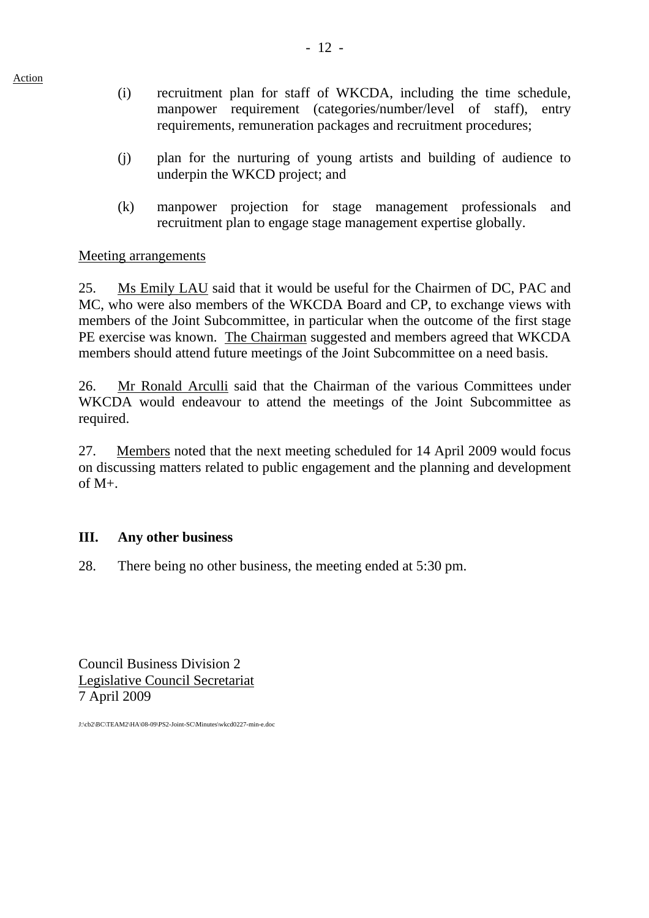- (i) recruitment plan for staff of WKCDA, including the time schedule, manpower requirement (categories/number/level of staff), entry requirements, remuneration packages and recruitment procedures;
- (j) plan for the nurturing of young artists and building of audience to underpin the WKCD project; and
- (k) manpower projection for stage management professionals and recruitment plan to engage stage management expertise globally.

## Meeting arrangements

25. Ms Emily LAU said that it would be useful for the Chairmen of DC, PAC and MC, who were also members of the WKCDA Board and CP, to exchange views with members of the Joint Subcommittee, in particular when the outcome of the first stage PE exercise was known. The Chairman suggested and members agreed that WKCDA members should attend future meetings of the Joint Subcommittee on a need basis.

26. Mr Ronald Arculli said that the Chairman of the various Committees under WKCDA would endeavour to attend the meetings of the Joint Subcommittee as required.

27. Members noted that the next meeting scheduled for 14 April 2009 would focus on discussing matters related to public engagement and the planning and development of M+.

## **III. Any other business**

28. There being no other business, the meeting ended at 5:30 pm.

Council Business Division 2 Legislative Council Secretariat 7 April 2009

J:\cb2\BC\TEAM2\HA\08-09\PS2-Joint-SC\Minutes\wkcd0227-min-e.doc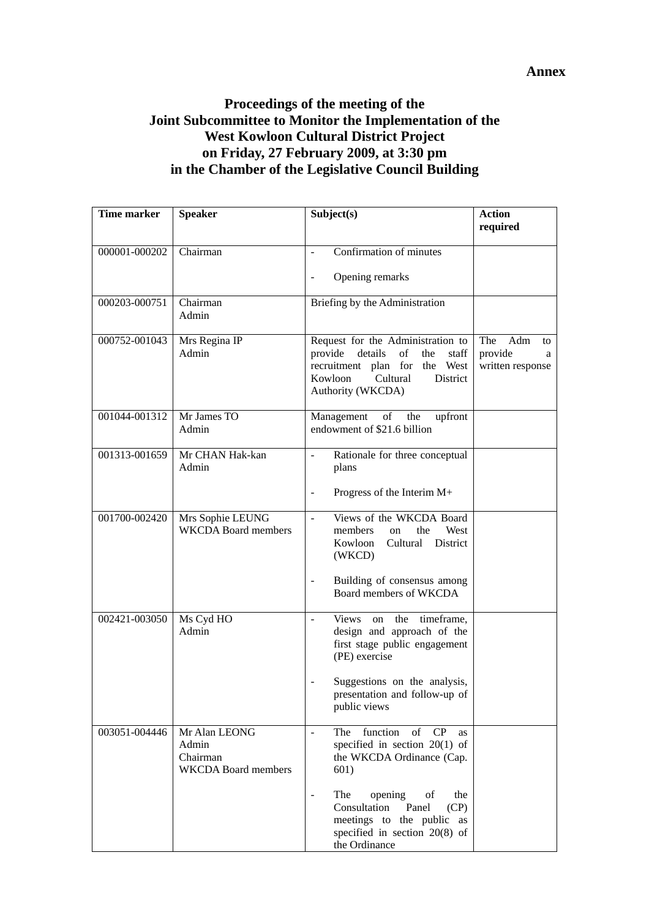## **Proceedings of the meeting of the Joint Subcommittee to Monitor the Implementation of the West Kowloon Cultural District Project on Friday, 27 February 2009, at 3:30 pm in the Chamber of the Legislative Council Building**

| Time marker   | <b>Speaker</b>                                                   | Subject(s)                                                                                                                                                                                                                                                                                     | <b>Action</b><br>required                            |
|---------------|------------------------------------------------------------------|------------------------------------------------------------------------------------------------------------------------------------------------------------------------------------------------------------------------------------------------------------------------------------------------|------------------------------------------------------|
| 000001-000202 | Chairman                                                         | Confirmation of minutes<br>$\overline{a}$                                                                                                                                                                                                                                                      |                                                      |
|               |                                                                  | Opening remarks<br>$\overline{a}$                                                                                                                                                                                                                                                              |                                                      |
| 000203-000751 | Chairman<br>Admin                                                | Briefing by the Administration                                                                                                                                                                                                                                                                 |                                                      |
| 000752-001043 | Mrs Regina IP<br>Admin                                           | Request for the Administration to<br>details<br>provide<br>of<br>the<br>staff<br>recruitment plan for the West<br>Kowloon<br>Cultural<br>District<br>Authority (WKCDA)                                                                                                                         | The<br>Adm<br>to<br>provide<br>a<br>written response |
| 001044-001312 | Mr James TO<br>Admin                                             | of the<br>Management<br>upfront<br>endowment of \$21.6 billion                                                                                                                                                                                                                                 |                                                      |
| 001313-001659 | Mr CHAN Hak-kan<br>Admin                                         | Rationale for three conceptual<br>plans<br>Progress of the Interim M+<br>$\overline{a}$                                                                                                                                                                                                        |                                                      |
| 001700-002420 | Mrs Sophie LEUNG<br><b>WKCDA</b> Board members                   | Views of the WKCDA Board<br>$\equiv$<br>West<br>members<br>the<br>on<br>Kowloon<br>Cultural District<br>(WKCD)<br>Building of consensus among<br>$\overline{a}$<br>Board members of WKCDA                                                                                                      |                                                      |
| 002421-003050 | Ms Cyd HO<br>Admin                                               | Views on the timeframe,<br>÷,<br>design and approach of the<br>first stage public engagement<br>(PE) exercise<br>Suggestions on the analysis,<br>$\overline{a}$<br>presentation and follow-up of<br>public views                                                                               |                                                      |
| 003051-004446 | Mr Alan LEONG<br>Admin<br>Chairman<br><b>WKCDA</b> Board members | CP<br>function<br>of<br>The<br>$\overline{\phantom{a}}$<br><b>as</b><br>specified in section $20(1)$ of<br>the WKCDA Ordinance (Cap.<br>601)<br>opening<br>The<br>of<br>the<br>$\overline{a}$<br>Consultation<br>Panel<br>(CP)<br>meetings to the public as<br>specified in section $20(8)$ of |                                                      |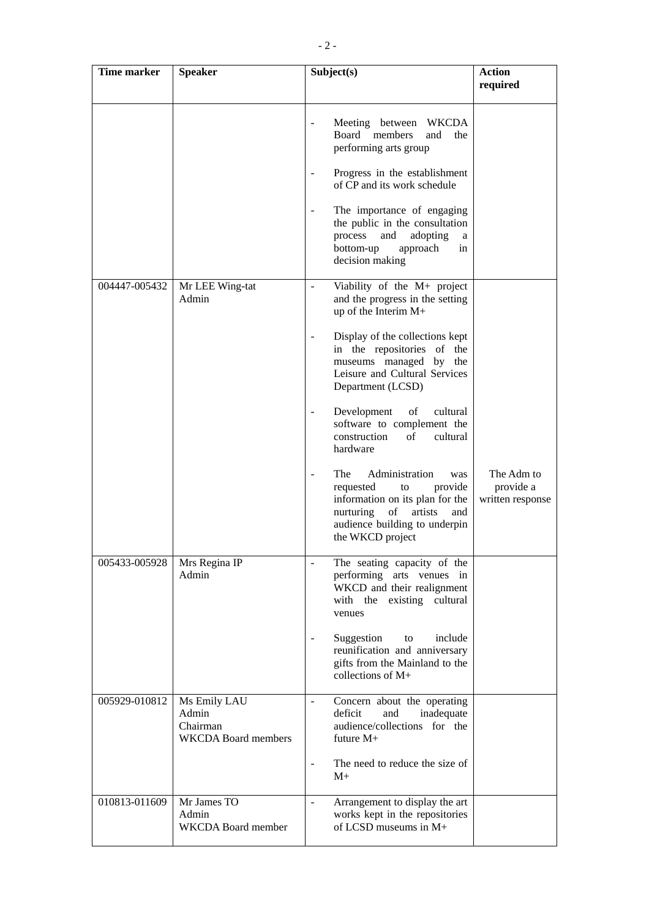| Time marker   | <b>Speaker</b>                                                  | Subject(s)                                                                                                                                                                                                                                                                                                                                                                                                                                                                                                                | <b>Action</b><br>required                   |
|---------------|-----------------------------------------------------------------|---------------------------------------------------------------------------------------------------------------------------------------------------------------------------------------------------------------------------------------------------------------------------------------------------------------------------------------------------------------------------------------------------------------------------------------------------------------------------------------------------------------------------|---------------------------------------------|
|               |                                                                 | Meeting between<br>WKCDA<br>$\blacksquare$<br>Board members<br>and<br>the<br>performing arts group<br>Progress in the establishment<br>$\overline{\phantom{a}}$<br>of CP and its work schedule<br>The importance of engaging<br>$\overline{\phantom{a}}$<br>the public in the consultation<br>adopting<br>process<br>and<br>a<br>bottom-up<br>approach<br>in<br>decision making                                                                                                                                           |                                             |
| 004447-005432 | Mr LEE Wing-tat<br>Admin                                        | Viability of the M+ project<br>$\sim$<br>and the progress in the setting<br>up of the Interim $M+$<br>Display of the collections kept<br>$\overline{\phantom{a}}$<br>in the repositories of the<br>museums managed by the<br>Leisure and Cultural Services<br>Department (LCSD)<br>Development<br>cultural<br>of<br>software to complement the<br>construction<br>of<br>cultural<br>hardware<br>Administration<br>The<br>was<br>$\overline{\phantom{a}}$<br>provide<br>requested<br>to<br>information on its plan for the | The Adm to<br>provide a<br>written response |
| 005433-005928 | Mrs Regina IP<br>Admin                                          | nurturing<br>of<br>artists<br>and<br>audience building to underpin<br>the WKCD project<br>The seating capacity of the<br>performing arts venues in<br>WKCD and their realignment<br>with the existing cultural<br>venues<br>Suggestion<br>include<br>to<br>$\overline{\phantom{a}}$<br>reunification and anniversary<br>gifts from the Mainland to the<br>collections of M+                                                                                                                                               |                                             |
| 005929-010812 | Ms Emily LAU<br>Admin<br>Chairman<br><b>WKCDA</b> Board members | Concern about the operating<br>$\blacksquare$<br>deficit<br>and<br>inadequate<br>audience/collections for the<br>future $M+$<br>The need to reduce the size of<br>$\blacksquare$<br>$M+$                                                                                                                                                                                                                                                                                                                                  |                                             |
| 010813-011609 | Mr James TO<br>Admin<br><b>WKCDA Board member</b>               | Arrangement to display the art<br>$\blacksquare$<br>works kept in the repositories<br>of LCSD museums in $M+$                                                                                                                                                                                                                                                                                                                                                                                                             |                                             |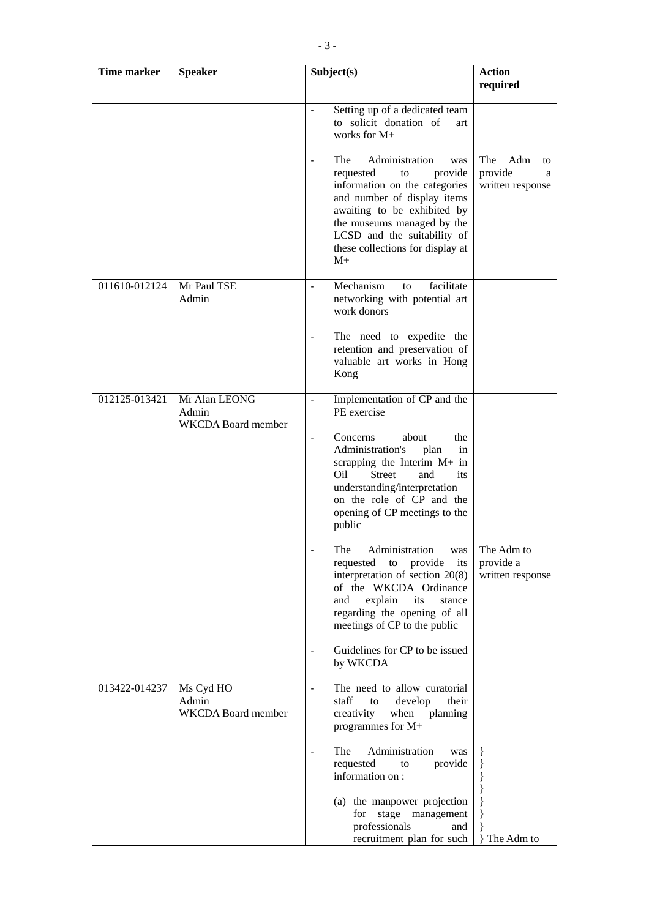| <b>Time marker</b> | <b>Speaker</b>                                      | Subject(s)                                                                                                                                                                                                                                                                                                                                                                                                                                                                                                                                                                                                  | <b>Action</b>                                        |
|--------------------|-----------------------------------------------------|-------------------------------------------------------------------------------------------------------------------------------------------------------------------------------------------------------------------------------------------------------------------------------------------------------------------------------------------------------------------------------------------------------------------------------------------------------------------------------------------------------------------------------------------------------------------------------------------------------------|------------------------------------------------------|
|                    |                                                     |                                                                                                                                                                                                                                                                                                                                                                                                                                                                                                                                                                                                             | required                                             |
|                    |                                                     | Setting up of a dedicated team<br>$\blacksquare$<br>to solicit donation of<br>art<br>works for M+<br>The<br>Administration<br>was<br>$\blacksquare$<br>requested<br>provide<br>to<br>information on the categories<br>and number of display items<br>awaiting to be exhibited by<br>the museums managed by the<br>LCSD and the suitability of<br>these collections for display at<br>$M+$                                                                                                                                                                                                                   | The<br>Adm<br>to<br>provide<br>a<br>written response |
| 011610-012124      | Mr Paul TSE<br>Admin                                | Mechanism<br>facilitate<br>to<br>networking with potential art<br>work donors<br>The need to expedite the<br>retention and preservation of<br>valuable art works in Hong<br>Kong                                                                                                                                                                                                                                                                                                                                                                                                                            |                                                      |
| 012125-013421      | Mr Alan LEONG<br>Admin<br><b>WKCDA</b> Board member | Implementation of CP and the<br>$\frac{1}{2}$<br>PE exercise<br>Concerns<br>about<br>the<br>$\overline{\phantom{a}}$<br>Administration's<br>plan<br>in<br>scrapping the Interim M+ in<br>Street<br>Oil<br>and<br>its<br>understanding/interpretation<br>on the role of CP and the<br>opening of CP meetings to the<br>public<br>The<br>Administration<br>was<br>requested to provide<br>its<br>interpretation of section $20(8)$<br>of the WKCDA Ordinance<br>explain<br>its<br>and<br>stance<br>regarding the opening of all<br>meetings of CP to the public<br>Guidelines for CP to be issued<br>by WKCDA | The Adm to<br>provide a<br>written response          |
| 013422-014237      | Ms Cyd HO<br>Admin<br><b>WKCDA Board member</b>     | The need to allow curatorial<br>$\overline{\phantom{a}}$<br>develop<br>staff<br>their<br>to<br>creativity<br>when planning<br>programmes for M+<br>Administration<br>The<br>was<br>provide<br>requested<br>to<br>information on:<br>(a) the manpower projection                                                                                                                                                                                                                                                                                                                                             | }                                                    |

for stage management professionals and recruitment plan for such

} }

} The Adm to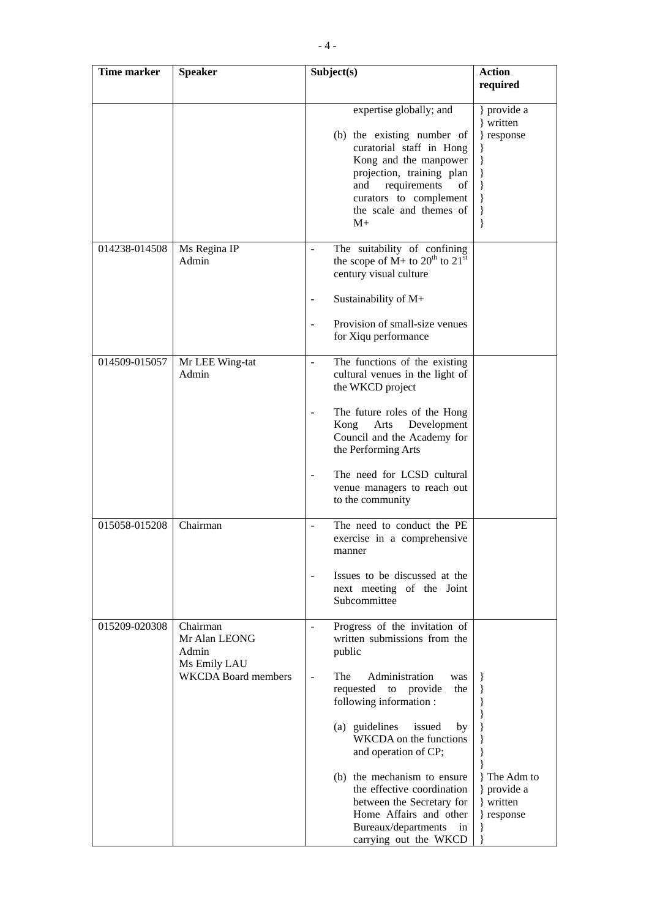| Time marker   | <b>Speaker</b>                                                                   | Subject(s)                                                                                                                                                                                                                                                                                                                                                                                                                                                 | <b>Action</b>                                                        |
|---------------|----------------------------------------------------------------------------------|------------------------------------------------------------------------------------------------------------------------------------------------------------------------------------------------------------------------------------------------------------------------------------------------------------------------------------------------------------------------------------------------------------------------------------------------------------|----------------------------------------------------------------------|
|               |                                                                                  |                                                                                                                                                                                                                                                                                                                                                                                                                                                            | required                                                             |
|               |                                                                                  | expertise globally; and<br>(b) the existing number of<br>curatorial staff in Hong<br>Kong and the manpower<br>projection, training plan<br>requirements<br>and<br>οf<br>curators to complement<br>the scale and themes of<br>$M+$                                                                                                                                                                                                                          | } provide a<br>} written<br>} response<br>}<br>}<br>}<br>}<br>}<br>} |
| 014238-014508 | Ms Regina IP<br>Admin                                                            | The suitability of confining<br>the scope of $M$ + to $20^{th}$ to $21^{st}$<br>century visual culture<br>Sustainability of M+<br>Provision of small-size venues<br>for Xiqu performance                                                                                                                                                                                                                                                                   |                                                                      |
| 014509-015057 | Mr LEE Wing-tat<br>Admin                                                         | The functions of the existing<br>cultural venues in the light of<br>the WKCD project<br>The future roles of the Hong<br>Arts<br>Development<br>Kong<br>Council and the Academy for<br>the Performing Arts<br>The need for LCSD cultural<br>venue managers to reach out<br>to the community                                                                                                                                                                 |                                                                      |
| 015058-015208 | Chairman                                                                         | The need to conduct the PE<br>exercise in a comprehensive<br>manner<br>Issues to be discussed at the<br>next meeting of the Joint<br>Subcommittee                                                                                                                                                                                                                                                                                                          |                                                                      |
| 015209-020308 | Chairman<br>Mr Alan LEONG<br>Admin<br>Ms Emily LAU<br><b>WKCDA</b> Board members | Progress of the invitation of<br>$\overline{\phantom{a}}$<br>written submissions from the<br>public<br>The<br>Administration<br>was<br>requested to provide<br>the<br>following information:<br>(a) guidelines<br>issued<br>by<br>WKCDA on the functions<br>and operation of CP;<br>(b) the mechanism to ensure<br>the effective coordination<br>between the Secretary for<br>Home Affairs and other<br>Bureaux/departments<br>in<br>carrying out the WKCD | The Adm to<br>} provide a<br>} written<br>} response                 |